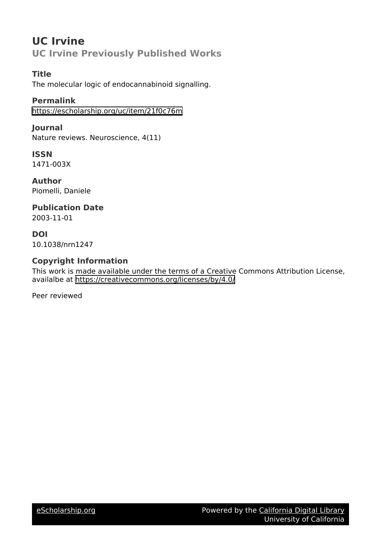# **UC Irvine UC Irvine Previously Published Works**

# **Title**

The molecular logic of endocannabinoid signalling.

**Permalink** <https://escholarship.org/uc/item/21f0c76m>

**Journal** Nature reviews. Neuroscience, 4(11)

**ISSN** 1471-003X

**Author** Piomelli, Daniele

# **Publication Date** 2003-11-01

**DOI** 10.1038/nrn1247

# **Copyright Information**

This work is made available under the terms of a Creative Commons Attribution License, availalbe at <https://creativecommons.org/licenses/by/4.0/>

Peer reviewed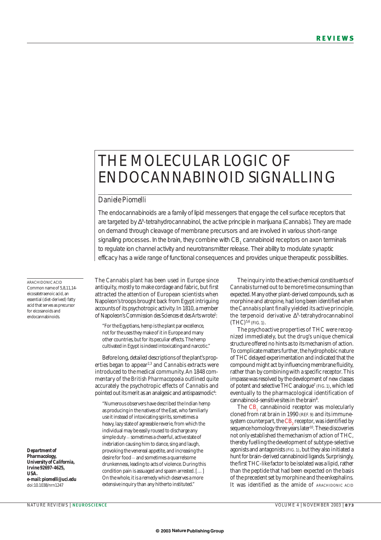# THE MOLECULAR LOGIC OF ENDOCANNABINOID SIGNALLING

# *Daniele Piomelli*

The endocannabinoids are a family of lipid messengers that engage the cell surface receptors that are targeted by ∆<sup>9</sup>-tetrahydrocannabinol, the active principle in marijuana (*Cannabis*). They are made on demand through cleavage of membrane precursors and are involved in various short-range signalling processes. In the brain, they combine with CB<sub>1</sub> cannabinoid receptors on axon terminals to regulate ion channel activity and neurotransmitter release. Their ability to modulate synaptic efficacy has a wide range of functional consequences and provides unique therapeutic possibilities.

ARACHIDONIC ACID Common name of 5,8,11,14eicosatetraenoic acid, an essential (diet-derived) fatty acid that serves as precursor for eicosanoids and endocannabinoids.

*Department of Pharmacology, University of California, Irvine 92697-4625, USA. e-mail: piomelli@uci.edu* doi:10.1038/nrn1247

The *Cannabis* plant has been used in Europe since antiquity, mostly to make cordage and fabric, but first attracted the attention of European scientists when Napoleon's troops brought back from Egypt intriguing accounts of its psychotropic activity. In 1810, a member of Napoleon's *Commission des Sciences et des Arts*wrote1 :

"For the Egyptians, hemp is the plant par excellence, not for the uses they make of it in Europe and many other countries, but for its peculiar effects. The hemp cultivated in Egypt is indeed intoxicating and narcotic."

Before long, detailed descriptions of the plant's properties began to appear<sup>2,3</sup> and *Cannabis* extracts were introduced to the medical community. An 1848 commentary of the *British Pharmacopoeia* outlined quite accurately the psychotropic effects of *Cannabis* and pointed out its merit as an analgesic and antispasmodic $\rm{^4:}$ 

"Numerous observers have described the Indian hemp as producing in the natives of the East, who familiarly use it instead of intoxicating spirits, sometimes a heavy, lazy state of agreeable reverie, from which the individual may be easily roused to discharge any simple duty - sometimes a cheerful, active state of inebriation causing him to dance, sing and laugh, provoking the venereal appetite, and increasing the desire for food - and sometimes a quarrelsome drunkenness, leading to acts of violence. During this condition pain is assuaged and spasm arrested. […] On the whole, it is a remedy which deserves a more extensive inquiry than any hitherto instituted."

The inquiry into the active chemical constituents of *Cannabis* turned out to be more time consuming than expected. Many other plant-derived compounds, such as morphine and atropine, had long been identified when the *Cannabis* plant finally yielded its active principle, the terpenoid derivative ∆<sup>9</sup> -tetrahydrocannabinol  $(THC)^{5,6}$  (FIG. 1).

The psychoactive properties of THC were recognized immediately, but the drug's unique chemical structure offered no hints as to its mechanism of action. To complicate matters further, the hydrophobic nature of THC delayed experimentation and indicated that the compound might act by influencing membrane fluidity, rather than by combining with a specific receptor. This impasse was resolved by the development of new classes of potent and selective THC analogue<sup>7</sup> (FIG. 1), which led eventually to the pharmacological identification of cannabinoid-sensitive sites in the brain<sup>8</sup>.

The CB<sub>1</sub> cannabinoid receptor was molecularly cloned from rat brain in 1990 (REF. 9) and its immunesystem counterpart, the  $CB$ <sub>s</sub> receptor, was identified by sequence homology three years later<sup>10</sup>. These discoveries not only established the mechanism of action of THC, thereby fuelling the development of subtype-selective agonists and antagonists (FIG. 1), but they also initiated a hunt for brain-derived cannabinoid ligands. Surprisingly, the first THC-like factor to be isolated was a lipid, rather than the peptide that had been expected on the basis of the precedent set by morphine and the enkephalins. It was identified as the amide of ARACHIDONIC ACID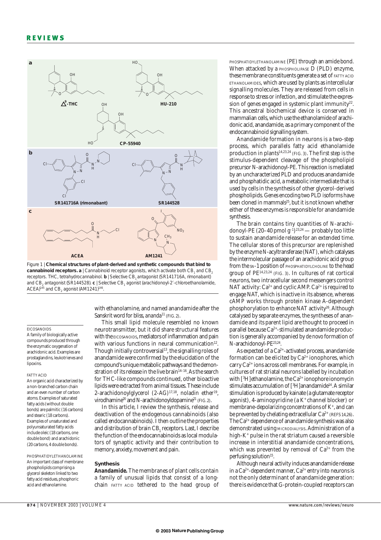

Figure 1 | **Chemical structures of plant-derived and synthetic compounds that bind to cannabinoid receptors. a** | Cannabinoid receptor agonists, which activate both CB<sub>1</sub> and CB. receptors. THC, tetrahydrocannabinol. **b** | Selective CB, antagonist (SR141716A, rimonabant) and CB<sub>2</sub> antagonist (SR144528). **c** | Selective CB<sub>1</sub> agonist (arachidonoyl-2'-chloroethanolamide,  $ACEA$ <sup>145</sup> and  $CB$ <sub>2</sub> agonist (AM1241)<sup>146</sup>

#### EICOSANOIDS

A family of biologically active compounds produced through the enzymatic oxygenation of arachidonic acid. Examples are prostaglandins, leukotrienes and lipoxins.

#### FATTY ACID

An organic acid characterized by a non-branched carbon chain and an even number of carbon atoms. Examples of saturated fatty acids (without double bonds) are palmitic (16 carbons) and stearic (18 carbons). Examples of unsaturated and polyunsaturated fatty acids include oleic (18 carbons, one double bond) and arachidonic (20 carbons, 4 double bonds).

PHOSPHATIDYLETHANOLAMINE An important class of membrane phospholipids comprising a glycerol skeleton linked to two fatty acid residues, phosphoric acid and ethanolamine.

with ethanolamine, and named anandamide after the Sanskrit word for bliss, *ananda*<sup>11</sup> (FIG. 2).

This small lipid molecule resembled no known neurotransmitter, but it did share structural features with the EICOSANOIDS, mediators of inflammation and pain with various functions in neural communication $12$ . Though initially controversial<sup>13</sup>, the signalling roles of anandamide were confirmed by the elucidation of the compound's unique metabolic pathways and the demonstration of its release in the live brain<sup>14-16</sup>. As the search for THC-like compounds continued, other bioactive lipids were extracted from animal tissues. These include 2-arachidonoylglycerol (2-AG)<sup>17,18</sup>, noladin ether<sup>19</sup>, virodhamine<sup>20</sup> and *N*-arachidonoyldopamine<sup>21</sup> (FIG. 2).

In this article, I review the synthesis, release and deactivation of the endogenous cannabinoids (also called endocannabinoids). I then outline the properties and distribution of brain CB<sub>1</sub> receptors. Last, I describe the function of the endocannabinoids as local modulators of synaptic activity and their contribution to memory, anxiety, movement and pain.

# **Synthesis**

*Anandamide.* The membranes of plant cells contain a family of unusual lipids that consist of a longchain FATTY ACID tethered to the head group of

PHOSPHATIDYLETHANOLAMINE (PE) through an amide bond. When attacked by a PHOSPHOLIPASE D (PLD) enzyme, these membrane constituents generate a set of FATTY ACID ETHANOLAMIDES, which are used by plants as intercellular signalling molecules. They are released from cells in response to stress or infection, and stimulate the expression of genes engaged in systemic plant immunity<sup>22</sup>. This ancestral biochemical device is conserved in mammalian cells, which use the ethanolamide of arachidonic acid, anandamide, as a primary component of the endocannabinoid signalling system.

Anandamide formation in neurons is a two-step process, which parallels fatty acid ethanolamide production in plants<sup>14,23,24</sup> (FIG. 3). The first step is the stimulus-dependent cleavage of the phospholipid precursor *N*-arachidonoyl-PE. This reaction is mediated by an uncharacterized PLD and produces anandamide and phosphatidic acid, a metabolic intermediate that is used by cells in the synthesis of other glycerol-derived phospholipids. Genes encoding two PLD isoforms have been cloned in mammals<sup>25</sup>, but it is not known whether either of these enzymes is responsible for anandamide synthesis.

The brain contains tiny quantities of *N*-arachidonoyl-PE (20–40 pmol  $g^{-1}$ )<sup>23,24</sup> — probably too little to sustain anandamide release for an extended time. The cellular stores of this precursor are replenished by the enzyme *N*-acyltransferase (NAT), which catalyses the intermolecular passage of an arachidonic acid group from the  $SN-1$  position of PHOSPHATIDYLCHOLINE to the head group of PE14,23,24 (FIG. 3). In cultures of rat cortical neurons, two intracellular second messengers control NAT activity:  $Ca^{2+}$  and cyclic AMP.  $Ca^{2+}$  is required to engage NAT, which is inactive in its absence, whereas cAMP works through protein kinase A-dependent phosphorylation to enhance NAT activity<sup>26</sup>. Although catalysed by separate enzymes, the syntheses of anandamide and its parent lipid are thought to proceed in parallel because Ca2+-stimulated anandamide production is generally accompanied by *de novo* formation of *N*-arachidonoyl-PE23,24.

As expected of a  $Ca^{2+}$ -activated process, anandamide formation can be elicited by  $Ca^{2+}$  ionophores, which carry Ca2+ ions across cell membranes. For example, in cultures of rat striatal neurons labelled by incubation with [<sup>3</sup>H] ethanolamine, the Ca<sup>2+</sup> ionophore ionomycin stimulates accumulation of [3 H]anandamide14.A similar stimulation is produced by kainate (a glutamate receptor agonist), 4-aminopyridine (a K+ channel blocker) or membrane-depolarizing concentrations of K<sup>+</sup>, and can be prevented by chelating extracellular  $Ca^{2+}$  (REFS 14,26). The Ca<sup>2+</sup> dependence of anandamide synthesis was also demonstrated using MICRODIALYSIS. Administration of a high-K+ pulse in the rat striatum caused a reversible increase in interstitial anandamide concentrations, which was prevented by removal of  $Ca^{2+}$  from the perfusing solution<sup>15</sup>.

Although neural activity induces anandamide release in a  $Ca^{2+}$ -dependent manner,  $Ca^{2+}$  entry into neurons is not the only determinant of anandamide generation: there is evidence that G-protein-coupled receptors can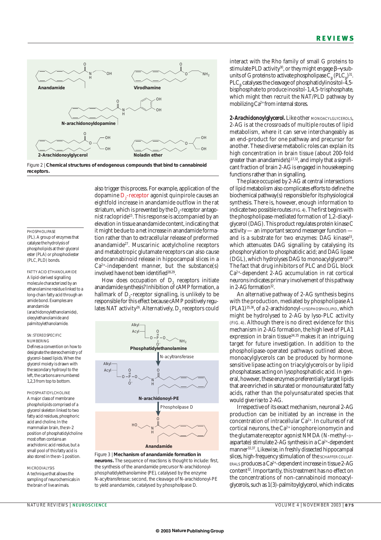

Figure 2 | **Chemical structures of endogenous compounds that bind to cannabinoid receptors.**

# PHOSPHOLIPASE

(PL). A group of enzymes that catalyse the hydrolysis of phospholipids at their glycerol ester (PLA) or phosphodiester (PLC, PLD) bonds.

FATTY ACID ETHANOLAMIDE A lipid-derived signalling molecule characterized by an ethanolamine residue linked to a long-chain fatty acid through an amide bond. Examples are anandamide (arachidonoylethanolamide), oleoylethanolamide and palmitoylethanolamide.

### *SN*: STEREOSPECIFIC NUMBERING Defines a convention on how to designate the stereochemistry of glycerol-based lipids. When the glycerol moiety is drawn with the secondary hydroxyl to the left, the carbons are numbered 1,2,3 from top to bottom.

PHOSPHATIDYLCHOLINE A major class of membrane phospholipids comprised of a glycerol skeleton linked to two fatty acid residues, phosphoric acid and choline. In the mammalian brain, the *sn*-2 position of phosphatidylcholine most often contains an arachidonic acid residue, but a small pool of this fatty acid is also stored in the *sn*-1 position.

# MICRODIALYSIS

A technique that allows the sampling of neurochemicals in the brain of live animals.

also trigger this process. For example, application of the dopamine  $\mathrm{D}_\mathrm{2}$ -receptor agonist quinpirole causes an eightfold increase in anandamide outflow in the rat striatum, which is prevented by the  $\mathrm{D}_2$ -receptor antagonist raclopride15. This response is accompanied by an elevation in tissue anandamide content, indicating that it might be due to a net increase in anandamide formation rather than to extracellular release of preformed anandamide27. Muscarinic acetylcholine receptors and metabotropic glutamate receptors can also cause endocannabinoid release in hippocampal slices in a  $Ca<sup>2+</sup>$ -independent manner, but the substance(s) involved have not been identified $28,29$ .

How does occupation of  $D<sub>2</sub>$  receptors initiate anandamide synthesis? Inhibition of cAMP formation, a hallmark of  $\mathrm{D}_\mathrm{2}$ -receptor signalling, is unlikely to be responsible for this effect because cAMP positively regulates NAT activity<sup>26</sup>. Alternatively, D<sub>2</sub> receptors could



# **neurons.** The sequence of reactions is thought to include: first, the synthesis of the anandamide precursor *N*-arachidonoylphosphatidylethanolamine (PE), catalysed by the enzyme *N*-acyltransferase; second, the cleavage of *N*-arachidonoyl-PE to yield anandamide, catalysed by phospholipase D.

interact with the Rho family of small G proteins to stimulate PLD activity<sup>30</sup>, or they might engage β–γ subunits of G proteins to activate phospholipase  $C_{\beta}$  (PLC<sub>β</sub>)<sup>31</sup>. PLC<sub>β</sub> catalyses the cleavage of phosphatidylinositol-4,5bisphosphate to produce inositol-1,4,5-trisphosphate, which might then recruit the NAT/PLD pathway by mobilizing  $Ca^{2+}$  from internal stores.

2-Arachidonoylglycerol. Like other MONOACYLGLYCEROLS, 2-AG is at the crossroads of multiple routes of lipid metabolism, where it can serve interchangeably as an end-product for one pathway and precursor for another. These diverse metabolic roles can explain its high concentration in brain tissue (about 200-fold greater than anandamide's)<sup>17,32</sup>, and imply that a significant fraction of brain 2-AG is engaged in housekeeping functions rather than in signalling.

The place occupied by 2-AG at central intersections of lipid metabolism also complicates efforts to define the biochemical pathway(s) responsible for its physiological synthesis. There is, however, enough information to indicate two possible routes (FIG. 4). The first begins with the phospholipase-mediated formation of 1,2-diacylglycerol (DAG). This product regulates protein kinase C activity — an important second messenger function and is a substrate for two enzymes: DAG kinase<sup>33</sup>, which attenuates DAG signalling by catalysing its phosphorylation to phosphatidic acid; and DAG lipase (DGL), which hydrolyses DAG to monoacylglycerol34. The fact that drug inhibitors of PLC and DGL block Ca2+-dependent 2-AG accumulation in rat cortical neurons indicates primary involvement of this pathway in 2-AG formation $32$ .

An alternative pathway of 2-AG synthesis begins with the production, mediated by phospholipase A1 (PLA1)35,36, of a 2-arachidonoyl-LYSOPHOSPHOLIPID, which might be hydrolysed to 2-AG by lyso-PLC activity (FIG. 4). Although there is no direct evidence for this mechanism in 2-AG formation, the high level of PLA1 expression in brain tissue $34,35$  makes it an intriguing target for future investigation. In addition to the phospholipase-operated pathways outlined above, monoacylglycerols can be produced by hormonesensitive lipase acting on triacylglycerols or by lipid phosphatases acting on lysophosphatidic acid. In general, however, these enzymes preferentially target lipids that are enriched in saturated or monounsaturated fatty acids, rather than the polyunsaturated species that would give rise to 2-AG.

Irrespective of its exact mechanism, neuronal 2-AG production can be initiated by an increase in the concentration of intracellular  $Ca^{2+}$ . In cultures of rat cortical neurons, the  $Ca^{2+}$  ionophore ionomycin and the glutamate receptor agonist NMDA (*N*-methyl-<sub>D</sub>aspartate) stimulate 2-AG synthesis in a  $Ca^{2+}$ -dependent manner32,37. Likewise, in freshly dissected hippocampal slices, high-frequency stimulation of the SCHAFFER COLLAT-ERALS produces a Ca2+-dependent increase in tissue 2-AG content<sup>32</sup>. Importantly, this treatment has no effect on the concentrations of non-cannabinoid monoacylglycerols, such as 1(3)-palmitoylglycerol, which indicates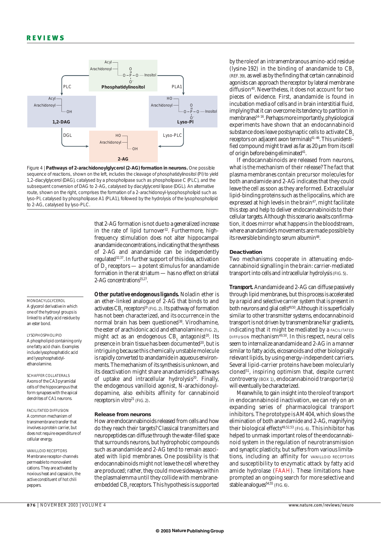MONOACYLGLYCEROL A glycerol derivative in which one of the hydroxyl groups is linked to a fatty acid residue by

SCHAFFER COLLATERALS Axons of the CA3 pyramidal cells of the hippocampus that form synapses with the apical dendrites of CA1 neurons. FACILITATED DIFFUSION A common mechanism of transmembrane transfer that involves a protein carrier, but does not require expenditure of

cellular energy.

peppers.

VANILLOID RECEPTORS Membrane receptor-channels permeable to monovalent cations. They are activated by noxious heat and capsaicin, the active constituent of hot chili

an ester bond. LYSOPHOSPHOLIPID A phospholipid containing only one fatty acid chain. Examples include lysophosphatidic acid and lysophosphatidylethanolamine.



Figure 4 | **Pathways of 2-arachidonoylglycerol (2-AG) formation in neurons.** One possible sequence of reactions, shown on the left, includes the cleavage of phosphatidylinositol (PI) to yield 1,2-diacylglycerol (DAG), catalysed by a phospholipase such as phospholipase C (PLC), and the subsequent conversion of DAG to 2-AG, catalysed by diacylglycerol lipase (DGL). An alternative route, shown on the right, comprises the formation of a 2-arachidonoyl-lysophospholipid such as lyso-PI, catalysed by phospholipase A1 (PLA1), followed by the hydrolysis of the lysophospholipid to 2-AG, catalysed by lyso-PLC.

> that 2-AG formation is not due to a generalized increase in the rate of lipid turnover<sup>32</sup>. Furthermore, highfrequency stimulation does not alter hippocampal anandamide concentrations, indicating that the syntheses of 2-AG and anandamide can be independently regulated32,37. In further support of this idea, activation of  $D<sub>9</sub>$  receptors — a potent stimulus for anandamide formation in the rat striatum — has no effect on striatal 2-AG concentrations15,27.

*Other putative endogenous ligands.* Noladin ether is an ether-linked analogue of 2-AG that binds to and activates  $CB_1$  receptors<sup>19</sup> (FIG. 2). Its pathway of formation has not been characterized, and its occurrence in the normal brain has been questioned<sup>38</sup>. Virodhamine, the ester of arachidonic acid and ethanolamine (FIG. 2), might act as an endogenous  $CB$ , antagonist<sup>20</sup>. Its presence in brain tissue has been documented<sup>20</sup>, but is intriguing because this chemically unstable molecule is rapidly converted to anandamide in aqueous environments. The mechanism of its synthesis is unknown, and its deactivation might share anandamide's pathways of uptake and intracellular hydrolysis<sup>20</sup>. Finally, the endogenous vanilloid agonist, *N*-arachidonoyldopamine, also exhibits affinity for cannabinoid receptors *in vitro*<sup>21</sup> (FIG. 2).

# **Release from neurons**

How are endocannabinoids released from cells and how do they reach their targets? Classical transmitters and neuropeptides can diffuse through the water-filled space that surrounds neurons, but hydrophobic compounds such as anandamide and 2-AG tend to remain associated with lipid membranes. One possibility is that endocannabinoids might not leave the cell where they are produced; rather, they could move sideways within the plasmalemma until they collide with membraneembedded CB, receptors. This hypothesis is supported

by the role of an intramembranous amino-acid residue  $($ lysine-192 $)$  in the binding of anandamide to  $CB$ . (REF. 39), as well as by the finding that certain cannabinoid agonists can approach the receptor by lateral membrane diffusion<sup>40</sup>. Nevertheless, it does not account for two pieces of evidence. First, anandamide is found in incubation media of cells and in brain interstitial fluid, implying that it can overcome its tendency to partition in membranes<sup>14-16</sup>. Perhaps more importantly, physiological experiments have shown that an endocannabinoid substance does leave postsynaptic cells to activate CB<sub>1</sub> receptors on adjacent axon terminals<sup>41-46</sup>. This unidentified compound might travel as far as 20  $\mu$ m from its cell of origin before being eliminated<sup>41</sup>.

If endocannabinoids are released from neurons, what is the mechanism of their release? The fact that plasma membranes contain precursor molecules for both anandamide and 2-AG indicates that they could leave the cell as soon as they are formed. Extracellular lipid-binding proteins such as the lipocalins, which are expressed at high levels in the brain<sup>47</sup>, might facilitate this step and help to deliver endocannabinoids to their cellular targets. Although this scenario awaits confirmation, it does mirror what happens in the bloodstream, where anandamide's movements are made possible by its reversible binding to serum albumin<sup>48</sup>.

# **Deactivation**

Two mechanisms cooperate in attenuating endocannabinoid signalling in the brain: carrier-mediated transport into cells and intracellular hydrolysis (FIG. 5).

*Transport.*Anandamide and 2-AG can diffuse passively through lipid membranes, but this process is accelerated by a rapid and selective carrier system that is present in both neurons and glial cells<sup>49,50</sup>. Although it is superficially similar to other transmitter systems, endocannabinoid transport is not driven by transmembrane Na<sup>+</sup> gradients, indicating that it might be mediated by a FACILITATED DIFFUSION mechanism49,50. In this respect, neural cells seem to internalize anandamide and 2-AG in a manner similar to fatty acids, eicosanoids and other biologically relevant lipids, by using energy-independent carriers. Several lipid-carrier proteins have been molecularly cloned<sup>51</sup>, inspiring optimism that, despite current controversy (BOX 1), endocannabinoid transporter(s) will eventually be characterized.

Meanwhile, to gain insight into the role of transport in endocannabinoid inactivation, we can rely on an expanding series of pharmacological transport inhibitors. The prototype is AM404, which slows the elimination of both anandamide and 2-AG, magnifying their biological effects<sup>49,52,53</sup> (FIG. 6). This inhibitor has helped to unmask important roles of the endocannabinoid system in the regulation of neurotransmission and synaptic plasticity, but suffers from various limitations, including an affinity for VANILLOID RECEPTORS and susceptibility to enzymatic attack by fatty acid amide hydrolase (FAAH). These limitations have prompted an ongoing search for more selective and stable analogues $^{54,55}$  (FIG. 6).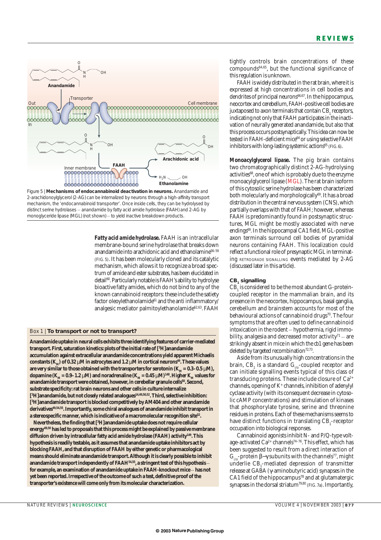

Figure 5 | **Mechanisms of endocannabinoid deactivation in neurons.** Anandamide and 2-arachidonoylglycerol (2-AG) can be internalized by neurons through a high-affinity transport mechanism, the 'endocannabinoid transporter'. Once inside cells, they can be hydrolysed by distinct serine hydrolases - anandamide by fatty acid amide hydrolase (FAAH) and 2-AG by monoglyceride lipase (MGL) (not shown) - to yield inactive breakdown products.

*Fatty acid amide hydrolase.* FAAH is an intracellular membrane-bound serine hydrolase that breaks down anandamide into arachidonic acid and ethanolamine<sup>56-59</sup> (FIG. 5). It has been molecularly cloned and its catalytic mechanism, which allows it to recognize a broad spectrum of amide and ester substrates, has been elucidated in detail<sup>60</sup>. Particularly notable is FAAH's ability to hydrolyse bioactive fatty amides, which do not bind to any of the known cannabinoid receptors: these include the satiety factor oleoylethanolamide<sup>61</sup> and the anti inflammatory/ analgesic mediator palmitoylethanolamide<sup>62,63</sup>. FAAH

# Box 1 | **To transport or not to transport?**

**Anandamide uptake in neural cells exhibits three identifying features of carrier-mediated transport. First, saturation kinetics: plots of the initial rate of [3 H]anandamide accumulation against extracellular anandamide concentrations yield apparent Michaelis** constants  $(K_n)$  of 0.32  $\mu$ M in astrocytes and 1.2  $\mu$ M in cortical neurons<sup>49</sup>. These values are very similar to those obtained with the transporters for serotonin  $(K_{\text{M}} = 0.3-0.5 \,\mu\text{M})$ , dopamine  $(K_M = 0.9 - 1.2 \mu M)$  and noradrenaline  $(K_M = 0.45 \mu M)^{148}$ . Higher  $K_M$  values for anandamide transport were obtained, however, in cerebellar granule cells<sup>50</sup>. Second, **substrate specificity: rat brain neurons and other cells in culture internalize [3 H]anandamide, but not closely related analogues14,49,50,52. Third, selective inhibition: [3 H]anandamide transport is blocked competitively by AM404 and other anandamide derivatives49,54,55. Importantly, some chiral analogues of anandamide inhibit transport in a stereospecific manner, which is indicative of a macromolecular recognition site52.**

**Nevertheless, the finding that [3 H]anandamide uptake does not require cellular energy49,50 has led to proposals that this process might be explained by passive membrane diffusion driven by intracellular fatty acid amide hydrolase (FAAH) activity149.This hypothesis is readily testable, as it assumes that anandamide uptake inhibitors act by blocking FAAH, and that disruption of FAAH by either genetic or pharmacological means should eliminate anandamide transport.Although it is clearly possible to inhibit** anandamide transport independently of FAAH<sup>54,55</sup>, a stringent test of this hypothesis – **for example, an examination of anandamide uptake in FAAH-knockout mice \_\_ has not yet been reported. Irrespective of the outcome of such a test, definitive proof of the transporter's existence will come only from its molecular characterization.**

tightly controls brain concentrations of these compounds64,65, but the functional significance of this regulation is unknown.

FAAH is widely distributed in the rat brain, where it is expressed at high concentrations in cell bodies and dendrites of principal neurons<sup>66,67</sup>. In the hippocampus, neocortex and cerebellum, FAAH-positive cell bodies are juxtaposed to axon terminals that contain CB, receptors, indicating not only that FAAH participates in the inactivation of neurally generated anandamide, but also that this process occurs postsynaptically. This idea can now be tested in FAAH-deficient mice<sup>64</sup> or using selective FAAH inhibitors with long-lasting systemic actions $^{65}$  (FIG. 6).

*Monoacylglycerol lipase.* The pig brain contains two chromatographically distinct 2-AG-hydrolysing activities<sup>68</sup>, one of which is probably due to the enzyme monoacylglycerol lipase (MGL). The rat brain isoform of this cytosolic serine hydrolase has been characterized both molecularly and morphologically<sup>69</sup>. It has a broad distribution in the central nervous system (CNS), which partially overlaps with that of FAAH; however, whereas FAAH is predominantly found in postsynaptic structures, MGL might be mostly associated with nerve endings<sup>69</sup>. In the hippocampal CA1 field, MGL-positive axon terminals surround cell bodies of pyramidal neurons containing FAAH. This localization could reflect a functional role of presynaptic MGL in terminating RETROGRADE SIGNALLING events mediated by 2-AG (discussed later in this article).

# **CB1 signalling**

CB<sub>1</sub> is considered to be the most abundant G-proteincoupled receptor in the mammalian brain, and its presence in the neocortex, hippocampus, basal ganglia, cerebellum and brainstem accounts for most of the behavioural actions of cannabinoid drugs<sup>70</sup>. The four symptoms that are often used to define cannabinoid intoxication in the rodent - hypothermia, rigid immobility, analgesia and decreased motor activity<sup>71</sup> - are strikingly absent in mice in which the *cb1* gene has been deleted by targeted recombination $72,73$ .

Aside from its unusually high concentrations in the brain,  $CB_1$  is a standard  $G_{i/\sigma}$ -coupled receptor and can initiate signalling events typical of this class of transducing proteins. These include closure of  $Ca^{2+}$ channels, opening of K+ channels, inhibition of adenylyl cyclase activity (with its consequent decrease in cytosolic cAMP concentrations) and stimulation of kinases that phosphorylate tyrosine, serine and threonine residues in proteins. Each of these mechanisms seems to have distinct functions in translating  $\text{CB}_\text{1}$ -receptor occupation into biological responses.

Cannabinoid agonists inhibit N- and P/Q-type voltage-activated  $Ca^{2+}$  channels<sup>74-76</sup>. This effect, which has been suggested to result from a direct interaction of G<sub>i/o</sub>-protein β–γ subunits with the channels<sup>77</sup>, might underlie  $\text{CB}_\text{1}$ -mediated depression of transmitter release at GABA (γ-aminobutyric acid) synapses in the CA1 field of the hippocampus<sup>78</sup> and at glutamatergic synapses in the dorsal striatum<sup>79,80</sup> (FIG. 7a). Importantly,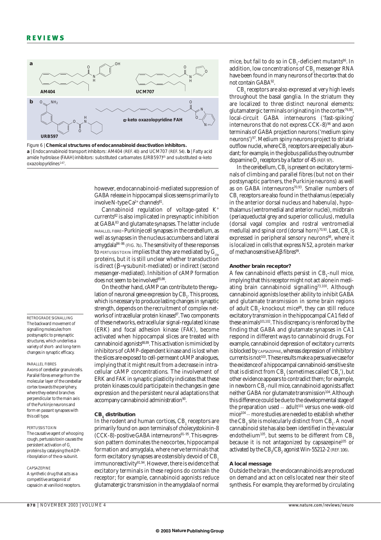

Figure 6 | **Chemical structures of endocannabinoid deactivation inhibitors. a** | Endocannabinoid transport inhibitors: AM404 (REF. 40) and UCM707 (REF. 54). **b** | Fatty acid amide hydrolase (FAAH) inhibitors: substituted carbamates (URB597)<sup>65</sup> and substituted  $\alpha$ -keto oxazolopyridines<sup>147</sup>.

however, endocannabinoid-mediated suppression of GABA release in hippocampal slices seems primarily to involve N-type  $Ca^{2+}$  channels<sup>81</sup>.

Cannabinoid regulation of voltage-gated K+ currents82 is also implicated in presynaptic inhibition at GABA83 and glutamate synapses. The latter include PARALLEL FIBRE–Purkinje cell synapses in the cerebellum, as well as synapses in the nucleus accumbens and lateral amygdala84–86 (FIG. 7b). The sensitivity of these responses to PERTUSSIS TOXIN implies that they are mediated by  $G_{i/2}$ proteins, but it is still unclear whether transduction is direct (β−γ subunit-mediated) or indirect (second messenger-mediated). Inhibition of cAMP formation does not seem to be involved<sup>85,86</sup>.

On the other hand, cAMP can contribute to the regulation of neuronal gene expression by  $\text{CB}_1$ . This process, which is necessary to produce lasting changes in synaptic strength, depends on the recruitment of complex networks of intracellular protein kinases<sup>87</sup>. Two components of these networks, extracellular signal-regulated kinase (ERK) and focal adhesion kinase (FAK), become activated when hippocampal slices are treated with cannabinoid agonists<sup>88,89</sup>. This activation is mimicked by inhibitors of cAMP-dependent kinase and is lost when the slices are exposed to cell-permeant cAMP analogues, implying that it might result from a decrease in intracellular cAMP concentrations. The involvement of ERK and FAK in synaptic plasticity indicates that these protein kinases could participate in the changes in gene expression and the persistent neural adaptations that accompany cannabinoid administration<sup>90</sup>.

### **CB1 distribution**

In the rodent and human cortices, CB<sub>1</sub> receptors are primarily found on axon terminals of cholecystokinin-8  $(CCK-8)$ -positive GABA interneurons<sup>91-95</sup>. This expression pattern dominates the neocortex, hippocampal formation and amygdala, where nerve terminals that form excitatory synapses are ostensibly devoid of CB. immunoreactivity<sup>91,94</sup>. However, there is evidence that excitatory terminals in these regions do contain the receptor; for example, cannabinoid agonists reduce glutamatergic transmission in the amygdala of normal

mice, but fail to do so in  $\text{CB}_\text{1}$ -deficient mutants $^\text{86}$ . In addition, low concentrations of CB, messenger RNA have been found in many neurons of the cortex that do not contain GABA92.

CB<sub>1</sub> receptors are also expressed at very high levels throughout the basal ganglia. In the striatum they are localized to three distinct neuronal elements: glutamatergic terminals originating in the cortex $79,80$ , local-circuit GABA interneurons ('fast-spiking' interneurons that do not express CCK-8)<sup>96</sup> and axon terminals of GABA projection neurons ('medium spiny neurons')97. Medium spiny neurons project to striatal outflow nuclei, where CB<sub>1</sub> receptors are especially abundant; for example, in the globus pallidus they outnumber dopamine D, receptors by a factor of  $45$  (REF. 97).

In the cerebellum, CB<sub>1</sub> is present on excitatory terminals of climbing and parallel fibres (but not on their postsynaptic partners, the Purkinje neurons) as well as on GABA interneurons $70.93$ . Smaller numbers of CB<sub>1</sub> receptors are also found in the thalamus (especially in the anterior dorsal nucleus and habenula), hypothalamus (ventromedial and anterior nuclei), midbrain (periaqueductal grey and superior colliculus), medulla (dorsal vagal complex and rostral ventromedial medulla) and spinal cord (dorsal horn)<sup>70,93</sup>. Last, CB<sub>1</sub> is expressed in peripheral sensory neurons<sup>98</sup>, where it is localized in cells that express N52, a protein marker of mechanosensitive Aβ fibres<sup>99</sup>.

# **Another brain receptor?**

A few cannabinoid effects persist in  $CB_1$ -null mice, implying that this receptor might not act alone in mediating brain cannabinoid signalling<sup>73,100</sup>. Although cannabinoid agonists lose their ability to inhibit GABA and glutamate transmission in some brain regions of adult  $\text{CB}_1$ -knockout mice $^{86}$ , they can still reduce excitatory transmission in the hippocampal CA1 field of these animals<sup>101,102</sup>. This discrepancy is reinforced by the finding that GABA and glutamate synapses in CA1 respond in different ways to cannabinoid drugs. For example, cannabinoid depression of excitatory currents is blocked by CAPSAZEPINE, whereas depression of inhibitory currents is not<sup>103</sup>. These results make a persuasive case for the existence of a hippocampal cannabinoid-sensitive site that is distinct from  $\text{CB}_1$  (sometimes called 'CB<sub>3</sub>'), but other evidence appears to contradict them; for example, in newborn  $\text{CB}_\text{1}$ -null mice, cannabinoid agonists affect neither GABA nor glutamate transmission<sup>104</sup>. Although this difference could be due to the developmental stage of the preparation used  $-$  adult<sup>101</sup> versus one-week-old  $mice<sup>104</sup>$  – more studies are needed to establish whether the  $\text{CB}_3$  site is molecularly distinct from  $\text{CB}_1$ . A novel cannabinoid site has also been identified in the vascular endothelium<sup>105</sup>, but seems to be different from  $CB$ <sub>2</sub> because it is not antagonized by capsazepine<sup>105</sup> or activated by the  $\text{CB}_1/\text{CB}_2$  agonist Win-55212-2 (REF. 106).

# **A local message**

Outside the brain, the endocannabinoids are produced on demand and act on cells located near their site of synthesis. For example, they are formed by circulating

RETROGRADE SIGNALLING The backward movement of signalling molecules from postsynaptic to presynaptic structures, which underlies a variety of short- and long-term changes in synaptic efficacy.

# PARALLEL FIBRES Axons of cerebellar granule cells. Parallel fibres emerge from the molecular layer of the cerebellar cortex towards the periphery, where they extend branches perpendicular to the main axis of the Purkinje neurons and

form *en passant*synapses with this cell type. PERTUSSIS TOXIN The causative agent of whooping

cough, pertussis toxin causes the persistent activation of  $\mathrm{G}_{\scriptscriptstyle{\mathrm{i}}}$ proteins by catalysing the ADPribosylation of the α-subunit.

# CAPSAZEPINE

A synthetic drug that acts as a competitive antagonist of capsaicin at vanilloid receptors.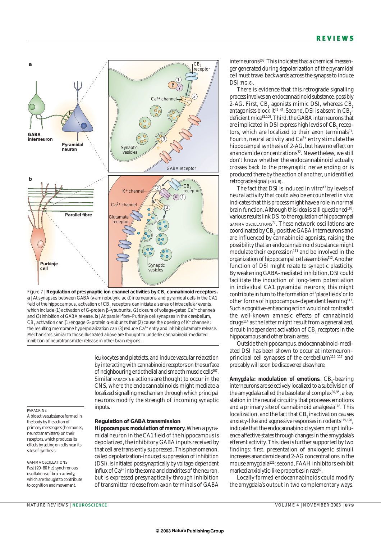

Figure 7 | **Regulation of presynaptic ion channel activities by CB**, cannabinoid receptors. **a** | At synapses between GABA (γ-aminobutyric acid) interneurons and pyramidal cells in the CA1 field of the hippocampus, activation of CB, receptors can initiate a series of intracellular events, which include (1) activation of G-protein β-γ subunits, (2) closure of voltage-gated Ca<sup>2+</sup> channels and (3) inhibition of GABA release. **b** | At parallel fibre–Purkinje cell synapses in the cerebellum, CB, activation can (1) engage G-protein  $\alpha$ -subunits that (2) cause the opening of K+ channels; the resulting membrane hyperpolarization can (3) reduce Ca<sup>2+</sup> entry and inhibit glutamate release. Mechanisms similar to those illustrated above are thought to underlie cannabinoid-mediated inhibition of neurotransmitter release in other brain regions.

leukocytes and platelets, and induce vascular relaxation by interacting with cannabinoid receptors on the surface of neighbouring endothelial and smooth muscle cells<sup>107</sup>. Similar PARACRINE actions are thought to occur in the CNS, where the endocannabinoids might mediate a localized signalling mechanism through which principal neurons modify the strength of incoming synaptic inputs.

*Hippocampus: modulation of memory.* When a pyramidal neuron in the CA1 field of the hippocampus is depolarized, the inhibitory GABA inputs received by that cell are transiently suppressed. This phenomenon, called depolarization-induced suppression of inhibition (DSI), is initiated postsynaptically by voltage-dependent influx of  $Ca^{2+}$  into the soma and dendrites of the neuron, but is expressed presynaptically through inhibition of transmitter release from axon terminals of GABA

**Regulation of GABA transmission**

PARACRINE

A bioactive substance formed in the body by the action of primary messengers (hormones, neurotransmitters) on their receptors, which produces its effects by acting on cells near its sites of synthesis.

GAMMA OSCILLATIONS Fast (20–80 Hz) synchronous oscillations of brain activity, which are thought to contribute to cognition and movement.

interneurons<sup>108</sup>. This indicates that a chemical messenger generated during depolarization of the pyramidal cell must travel backwards across the synapse to induce DSI (FIG. 8).

There is evidence that this retrograde signalling process involves an endocannabinoid substance, possibly 2-AG. First, CB, agonists mimic DSI, whereas CB, antagonists block it  $41-43$ . Second, DSI is absent in CB<sub>1</sub>deficient mice<sup>81,109</sup>. Third, the GABA interneurons that are implicated in DSI express high levels of CB<sub>1</sub> receptors, which are localized to their axon terminals<sup>91</sup>. Fourth, neural activity and  $Ca^{2+}$  entry stimulate the hippocampal synthesis of 2-AG, but have no effect on anandamide concentrations<sup>32</sup>. Nevertheless, we still don't know whether the endocannabinoid actually crosses back to the presynaptic nerve ending or is produced there by the action of another, unidentified retrograde signal (FIG. 8).

The fact that DSI is induced *in vitro*<sup>43</sup> by levels of neural activity that could also be encountered *in vivo* indicates that this process might have a role in normal brain function. Although this idea is still questioned<sup>110</sup>, various results link DSI to the regulation of hippocampal GAMMA OSCILLATIONS<sup>77</sup>. These network oscillations are coordinated by CB<sub>1</sub>-positive GABA interneurons and are influenced by cannabinoid agonists, raising the possibility that an endocannabinoid substance might modulate their expression<sup>111</sup> and be involved in the organization of hippocampal cell assemblies<sup>112</sup>. Another function of DSI might relate to synaptic plasticity. By weakening GABA-mediated inhibition, DSI could facilitate the induction of long-term potentiation in individual CA1 pyramidal neurons; this might contribute in turn to the formation of 'place fields' or to other forms of hippocampus-dependent learning<sup>113</sup>. Such a cognitive-enhancing action would not contradict the well-known amnesic effects of cannabinoid drugs<sup>114</sup> as the latter might result from a generalized, circuit-independent activation of CB, receptors in the hippocampus and other brain areas.

Outside the hippocampus, endocannabinoid-mediated DSI has been shown to occur at interneuron– principal cell synapses of the cerebellum<sup>115-117</sup> and probably will soon be discovered elsewhere.

A*mygdala: modulation of emotions.* CB<sub>1</sub>-bearing interneurons are selectively localized to a subdivision of the amygdala called the basolateral complex $94.95$ , a key station in the neural circuitry that processes emotions and a primary site of cannabinoid analgesia<sup>118</sup>. This localization, and the fact that CB<sub>1</sub> inactivation causes anxiety-like and aggressive responses in rodents $119,120$ . indicate that the endocannabinoid system might influence affective states through changes in the amygdala's efferent activity. This idea is further supported by two findings: first, presentation of anxiogenic stimuli increases anandamide and 2-AG concentrations in the mouse amygdala121; second, FAAH inhibitors exhibit marked anxiolytic-like properties in rats<sup>65</sup>.

Locally formed endocannabinoids could modify the amygdala's output in two complementary ways.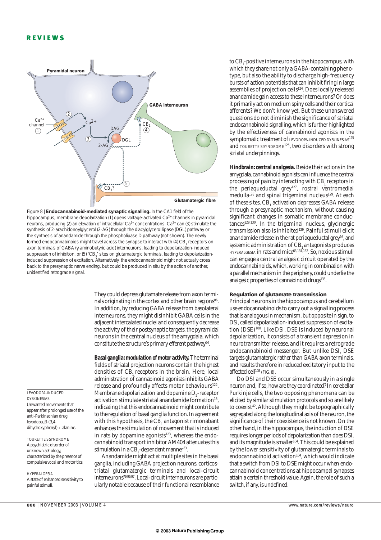



They could depress glutamate release from axon terminals originating in the cortex and other brain regions<sup>86</sup>. In addition, by reducing GABA release from basolateral interneurons, they might disinhibit GABA cells in the adjacent intercalated nuclei and consequently decrease the activity of their postsynaptic targets, the pyramidal neurons in the central nucleus of the amygdala, which constitute the structure's primary efferent pathway<sup>94</sup>.

*Basal ganglia: modulation of motor activity.*The terminal fields of striatal projection neurons contain the highest densities of CB<sub>1</sub> receptors in the brain. Here, local administration of cannabinoid agonists inhibits GABA release and profoundly affects motor behaviours<sup>122</sup>. Membrane depolarization and dopamine  $\rm D_{2}$ -receptor activation stimulate striatal anandamide formation<sup>15</sup>, indicating that this endocannabinoid might contribute to the regulation of basal ganglia function. In agreement with this hypothesis, the  $CB_1$  antagonist rimonabant enhances the stimulation of movement that is induced in rats by dopamine agonists $123$ , whereas the endocannabinoid transport inhibitor AM404 attenuates this stimulation in a  $\text{CB}_1$ -dependent manner $^{53}$ .

Anandamide might act at multiple sites in the basal ganglia, including GABA projection neurons, corticostriatal glutamatergic terminals and local-circuit interneurons79,96,97. Local-circuit interneurons are particularly notable because of their functional resemblance

to  $\text{CB}_1$ -positive interneurons in the hippocampus, with which they share not only a GABA-containing phenotype, but also the ability to discharge high-frequency bursts of action potentials that can inhibit firing in large assemblies of projection cells<sup>124</sup>. Does locally released anandamide gain access to these interneurons? Or does it primarily act on medium spiny cells and their cortical afferents? We don't know yet. But these unanswered questions do not diminish the significance of striatal endocannabinoid signalling, which is further highlighted by the effectiveness of cannabinoid agonists in the symptomatic treatment of LEVODOPA-INDUCED DYSKINESIAS<sup>125</sup> and TOURETTE'S SYNDROME<sup>126</sup>, two disorders with strong striatal underpinnings.

*Hindbrain: central analgesia.* Beside their actions in the amygdala, cannabinoid agonists can influence the central processing of pain by interacting with  $CB<sub>1</sub>$  receptors in the periaqueductal grey<sup>127</sup>, rostral ventromedial medulla<sup>128</sup> and spinal trigeminal nucleus<sup>129</sup>. At each of these sites, CB, activation depresses GABA release through a presynaptic mechanism, without causing significant changes in somatic membrane conductances129,130. In the trigeminal nucleus, glycinergic transmission also is inhibited<sup>129</sup>. Painful stimuli elicit anandamide release in the rat periaqueductal grey<sup>16</sup>, and systemic administration of CB<sub>1</sub> antagonists produces HYPERALGESIA in rats and mice<sup>63,131,132</sup>. So, noxious stimuli can engage a central analgesic circuit operated by the endocannabinoids, which, working in combination with a parallel mechanism in the periphery, could underlie the analgesic properties of cannabinoid drugs<sup>133</sup>.

# **Regulation of glutamate transmission**

Principal neurons in the hippocampus and cerebellum use endocannabinoids to carry out a signalling process that is analogous in mechanism, but opposite in sign, to DSI, called depolarization-induced suppression of excitation (DSE)<sup>108</sup>. Like DSI, DSE is induced by neuronal depolarization, it consists of a transient depression in neurotransmitter release, and it requires a retrograde endocannabinoid messenger. But unlike DSI, DSE targets glutamatergic rather than GABA axon terminals, and results therefore in reduced excitatory input to the affected cell<sup>108</sup> (FIG. 8).

Do DSI and DSE occur simultaneously in a single neuron and, if so, how are they coordinated? In cerebellar Purkinje cells, the two opposing phenomena can be elicited by similar stimulation protocols and so are likely to coexist<sup>42</sup>. Although they might be topographically segregated along the longitudinal axis of the neuron, the significance of their coexistence is not known. On the other hand, in the hippocampus, the induction of DSE requires longer periods of depolarization than does DSI, and its magnitude is smaller<sup>104</sup>. This could be explained by the lower sensitivity of glutamatergic terminals to endocannabinoid activation $104$ , which would indicate that a switch from DSI to DSE might occur when endocannabinoid concentrations at hippocampal synapses attain a certain threshold value. Again, the role of such a switch, if any, is undefined.

LEVODOPA-INDUCED DYSKINESIAS Unwanted movements that appear after prolonged use of the anti-Parkinsonian drug levodopa, β-(3,4 dihydroxyphenyl)-L-alanine.

TOURETTE'S SYNDROME A psychiatric disorder of unknown aetiology, characterized by the presence of compulsive vocal and motor tics.

HYPERALGESIA A state of enhanced sensitivity to painful stimuli.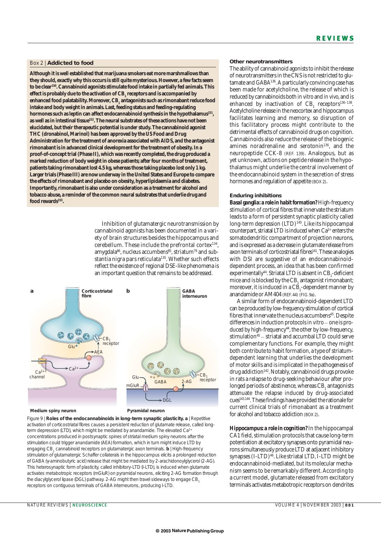# Box 2 | **Addicted to food**

**Although it is well established that marijuana smokers eat more marshmallows than they should, exactly why this occurs is still quite mysterious. However, a few facts seem to be clear150. Cannabinoid agonists stimulate food intake in partially fed animals. This** effect is probably due to the activation of CB<sub>1</sub> receptors and is accompanied by enhanced food palatability. Moreover, CB<sub>1</sub> antagonists such as rimonabant reduce food **intake and body weight in animals. Last, feeding status and feeding-regulating** hormones such as leptin can affect endocannabinoid synthesis in the hypothalamus<sup>151</sup>, **as well as in intestinal tissue152.The neural substrates of these actions have not been elucidated, but their therapeutic potential is under study. The cannabinoid agonist THC (dronabinol, Marinol) has been approved by the US Food and Drug Administration for the treatment of anorexia associated with AIDS, and the antagonist rimonabant is in advanced clinical development for the treatment of obesity. In a proof-of-concept trial (Phase II), which was recently completed, the drug produced a marked reduction of body weight in obese patients; after four months of treatment, patients taking rimonabant lost 4.5 kg, whereas those taking placebo lost only 1 kg. Larger trials (Phase III) are now underway in the United States and Europe to compare the effects of rimonabant and placebo on obesity, hyperlipidaemia and diabetes. Importantly, rimonabant is also under consideration as a treatment for alcohol and tobacco abuse, a reminder of the common neural substrates that underlie drug and food rewards153.**

> Inhibition of glutamatergic neurotransmission by cannabinoid agonists has been documented in a variety of brain structures besides the hippocampus and cerebellum. These include the prefrontal cortex134, amygdala<sup>86</sup>, nucleus accumbens<sup>85</sup>, striatum<sup>79</sup> and substantia nigra pars reticulata<sup>135</sup>. Whether such effects reflect the existence of regional DSE-like phenomena is an important question that remains to be addressed.



Figure 9 | **Roles of the endocannabinoids in long-term synaptic plasticity. a** | Repetitive activation of corticostriatal fibres causes a persistent reduction of glutamate release, called longterm depression (LTD), which might be mediated by anandamide. The elevated Ca<sup>2+</sup> concentrations produced in postsynaptic spines of striatal medium spiny neurons after the stimulation could trigger anandamide (AEA) formation, which in turn might induce LTD by engaging CB<sub>1</sub> cannabinoid receptors on glutamatergic axon terminals. **b** | High-frequency stimulation of glutamatergic Schaffer collaterals in the hippocampus elicits a prolonged reduction of GABA (γ-aminobutyric acid) release that might be mediated by 2-arachidonoylglycerol (2-AG). This heterosynaptic form of plasticity, called inhibitory-LTD (I-LTD), is induced when glutamate activates metabotropic receptors (mGluR) on pyramidal neurons, eliciting 2-AG formation through the diacylglycerol lipase (DGL) pathway. 2-AG might then travel sideways to engage CB, receptors on contiguous terminals of GABA interneurons, producing I-LTD.

# **Other neurotransmitters**

The ability of cannabinoid agonists to inhibit the release of neurotransmitters in the CNS is not restricted to glutamate and GABA136. A particularly convincing case has been made for acetylcholine, the release of which is reduced by cannabinoids both *in vitro* and *in vivo*, and is enhanced by inactivation of  $CB$ , receptors<sup>136-138</sup>. Acetylcholine release in the neocortex and hippocampus facilitates learning and memory, so disruption of this facilitatory process might contribute to the detrimental effects of cannabinoid drugs on cognition. Cannabinoids also reduce the release of the biogenic amines noradrenaline and serotonin<sup>136</sup>, and the neuropeptide CCK-8 (REF. 139). Analogous, but as yet unknown, actions on peptide release in the hypothalamus might underlie the central involvement of the endocannabinoid system in the secretion of stress hormones and regulation of appetite (BOX 2).

# **Enduring inhibitions**

*Basal ganglia: a role in habit formation?* High-frequency stimulation of cortical fibres that innervate the striatum leads to a form of persistent synaptic plasticity called long-term depression (LTD)<sup>140</sup>. Like its hippocampal counterpart, striatal LTD is induced when  $Ca^{2+}$  enters the somatodendritic compartment of projection neurons, and is expressed as a decrease in glutamate release from axon terminals of corticostriatal fibres<sup>141</sup>. These analogies with DSI are suggestive of an endocannabinoiddependent process, an idea that has been confirmed  $\mathrm{experimentally}^{44}$ . Striatal LTD is absent in CB<sub>1</sub>-deficient mice and is blocked by the CB<sub>1</sub> antagonist rimonabant; moreover, it is induced in a  $\text{CB}_\text{1}$ -dependent manner by anandamide or AM404 (REF. 44) (FIG. 9a).

A similar form of endocannabinoid-dependent LTD can be produced by low-frequency stimulation of cortical fibres that innervate the nucleus accumbens<sup>45</sup>. Despite differences in induction protocols *in vitro* – one is produced by high-frequency<sup>44</sup>, the other by low-frequency, stimulation<sup>45</sup> - striatal and accumbal LTD could serve complementary functions. For example, they might both contribute to habit formation, a type of striatumdependent learning that underlies the development of motor skills and is implicated in the pathogenesis of drug addiction<sup>142</sup>. Notably, cannabinoid drugs provoke in rats a relapse to drug-seeking behaviour after prolonged periods of abstinence, whereas CB<sub>1</sub> antagonists attenuate the relapse induced by drug-associated cues143,144. These findings have provided the rationale for current clinical trials of rimonabant as a treatment for alcohol and tobacco addiction (BOX 2).

*Hippocampus: a role in cognition?* In the hippocampal CA1 field, stimulation protocols that cause long-term potentiation at excitatory synapses onto pyramidal neurons simultaneously produce LTD at adjacent inhibitory synapses  $(I-LTD)^{46}$ . Like striatal LTD, I-LTD might be endocannabinoid-mediated, but its molecular mechanism seems to be remarkably different. According to a current model, glutamate released from excitatory terminals activates metabotropic receptors on dendrites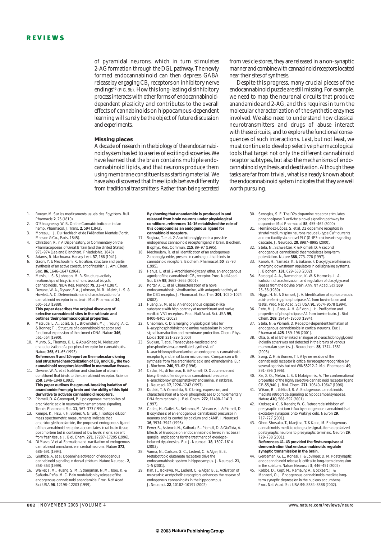of pyramidal neurons, which in turn stimulates 2-AG formation through the DGL pathway. The newly formed endocannabinoid can then depress GABA release by engaging CB<sub>1</sub> receptors on inhibitory nerve endings<sup>46</sup> (FIG. 9b). How this long-lasting disinhibitory process interacts with other forms of endocannabinoiddependent plasticity and contributes to the overall effects of cannabinoids on hippocampus-dependent learning will surely be the object of future discussion and experiments.

# **Missing pieces**

A decade of research in the biology of the endocannabinoid system has led to a series of exciting discoveries. We have learned that the brain contains multiple endocannabinoid lipids, and that neurons produce them using membrane constituents as starting material. We have also discovered that these lipids behave differently from traditional transmitters. Rather than being secreted

from vesicle stores, they are released in a non-synaptic manner and combine with cannabinoid receptors located near their sites of synthesis.

Despite this progress, many crucial pieces of the endocannabinoid puzzle are still missing. For example, we need to map the neuronal circuits that produce anandamide and 2-AG, and this requires in turn the molecular characterization of the synthetic enzymes involved. We also need to understand how classical neurotransmitters and drugs of abuse interact with these circuits, and to explore the functional consequences of such interactions. Last, but not least, we must continue to develop selective pharmacological tools that target not only the different cannabinoid receptor subtypes, but also the mechanisms of endocannabinoid synthesis and deactivation. Although these tasks are far from trivial, what is already known about the endocannabinoid system indicates that they are well worth pursuing.

- 1. Rouyer, M. Sur les medicaments usuels des Egyptiens. *Bull. Pharmacie* **2**, 25 (1810).
- 2. O'Shaugnessy, W. B. On the *Cannabis indica* or Indian hemp. *Pharmacol. J. Trans.* **2**, 594 (1843).
- 3. Moreau, J. J. *Du Hachisch et de l'Aliénation Mentale* (Fortin, Masson & Co., Paris, 1845).
- 4. Christison, R. in *A Dispensatory, or Commentary on the Pharmacopoeias of Great Britain (and the United States)* 971–974 (Lea and Blanchard, Philadelphia, 1848).
- 5. Adams, R. Marihuana. *Harvey Lect.* **37**, 168 (1941). 6. Gaoni, Y. & Mechoulam, R. Isolation, structure and partial synthesis of an active constituent of hashish. *J. Am. Chem.*
- *Soc.* **86**, 1646–1647 (1964). 7. Melvin, L. S. & Johnson, M. R. Structure–activity relationships of tricyclic and nonclassical bicycli
- cannabinoids. *NIDA Res. Monogr.* **79**, 31–47 (1987). 8. Devane, W. A., Dysarz, F. A., Johnson, M. R., Melvin, L. S. & Howlett, A. C. Determination and characterization of a cannabinoid receptor in rat brain. *Mol. Pharmacol.* **34**, 605–613 (1988). **This paper describes the original discovery of**

#### **selective cannabinoid sites in the rat brain and outlines their pharmacological properties.**

- 9. Matsuda, L. A., Lolait, S. J., Brownstein, M. J., Young, A. C. & Bonner, T. I. Structure of a cannabinoid receptor and functional expression of the cloned cDNA. *Nature* **346**, 561–564 (1990).
- 10. Munro, S., Thomas, K. L. & Abu-Shaar, M. Molecular characterization of a peripheral receptor for cannabinoids. *Nature* **365**, 61–65 (1993).

#### **References 9 and 10 report on the molecular cloning**  $\mathsf{and}$  structural characterization of CB<sub>1</sub> and CB<sub>2</sub>, the two **cannabinoid receptors identified in mammalian tissues.**

11. Devane, W. A. *et al.* Isolation and structure of a brain constituent that binds to the cannabinoid receptor. *Science* **258**, 1946–1949 (1992).

# **This paper outlines the ground-breaking isolation of anandamide from pig brain and the ability of this lipid derivative to activate cannabinoid receptors.**

- 12. Piomelli, D. & Greengard, P. Lipoxygenase metabolites of arachidonic acid in neuronal transmembrane signalling. *Trends Pharmacol. Sci.* **11**, 367–373 (1990).
- Kempe, K., Hsu, F. F., Bohrer, A. & Turk, J. Isotope dilution mass spectrometric measurements indicate that arachidonylethanolamide, the proposed endogenous ligand of the cannabinoid receptor, accumulates in rat brain tissue post mortem but is contained at low levels in or is absent from fresh tissue. *J. Biol. Chem.* **271**, 17287–17295 (1996).
- 14. Di Marzo, V. *et al.* Formation and inactivation of endogenous cannabinoid anandamide in central neurons. *Nature* **372**, 686–691 (1994).
- 15. Giuffrida, A. *et al.* Dopamine activation of endogenous cannabinoid signaling in dorsal striatum. *Nature Neurosci.* **2**, 358–363 (1999).
- 16. Walker, J. M., Huang, S. M., Strangman, N. M., Tsou, K. & Sañudo-Peña, M. C. Pain modulation by release of the endogenous cannabinoid anandamide. *Proc. Natl Acad. Sci. USA* **96**, 12198–12203 (1999).

#### **By showing that anandamide is produced in and released from brain neurons under physiological conditions, references 14–16 established the role of this compound as an endogenous ligand for cannabinoid receptors.**

- 17. Sugiura, T. *et al.* 2-Arachidonoylglycerol: a possible endogenous cannabinoid receptor ligand in brain. *Biochem. Biophys. Res. Commun.* **215**, 89–97 (1995).
- Mechoulam, R. *et al.* Identification of an endogenous 2-monoglyceride, present in canine gut, that binds to cannabinoid receptors. *Biochem. Pharmacol.* **50**, 83–90 (1995).
- 19. Hanus, L. *et al.* 2-Arachidonyl glyceryl ether, an endogenous agonist of the cannabinoid CB1 receptor. *Proc. Natl Acad. Sci. USA* **98**, 3662–3665 (2001).
- 20. Porter, A. C. *et al.* Characterization of a novel endocannabinoid, virodhamine, with antagonist activity at the CB1 receptor. *J. Pharmacol. Exp. Ther.* **301**, 1020–1024  $(2002)$
- 21. Huang, S. M. *et al.* An endogenous capsaicin-like substance with high potency at recombinant and native vanilloid VR1 receptors. *Proc. Natl Acad. Sci. USA* **99**, 8400–8405 (2002).
- 22. Chapman, K. D. Emerging physiological roles for *N*-acylphosphatidylethanolamine metabolism in plants: signal transduction and membrane protection. *Chem. Phys. Lipids* **108**, 221–229 (2000).
- 23. Sugiura, T. *et al.* Transacylase-mediated and phosphodiesterase-mediated synthesis of *N*-arachidonoylethanolamine, an endogenous cannabinoid-receptor ligand, in rat brain microsomes. Comparison with synthesis from free arachidonic acid and ethanolamine. *Eur. J. Biochem.* **240**, 53–62 (1996).
- Cadas, H., di Tomaso, E. & Piomelli, D. Occurrence and biosynthesis of endogenous cannabinoid precursor, *N*-arachidonoyl phosphatidylethanolamine, in rat brain. *J. Neurosci.* **17**, 1226–1242 (1997).
- 25. Kodaki, T. & Yamashita, S. Cloning, expression, and characterization of a novel phospholipase D complementary DNA from rat brain. *J. Biol. Chem.* **272**, 11408–11413 (1997).
- 26. Cadas, H., Gaillet, S., Beltramo, M., Venance, L. & Piomelli, D. Biosynthesis of an endogenous cannabinoid precursor in neurons and its control by calcium and cAMP. *J. Neurosci.* **16**, 3934–3942 (1996).
- 27. Ferrer, B., Asbrock, N., Kathuria, S., Piomelli, D. & Giuffrida, A. Effects of levodopa on endocannabinoid levels in rat basal ganglia: implications for the treatment of levodopainduced dyskinesias. *Eur. J. Neurosci.* **18**, 1607–1614 (2003).
- 28. Varma, N., Carlson, G. C., Ledent, C. & Alger, B. E. Metabotropic glutamate receptors drive the endocannabinoid system in hippocampus. *J. Neurosci.* **21**, 1–5 (2001).
- 29. Kim, J., Isokawa, M., Ledent, C. & Alger, B. E. Activation of muscarinic acetylcholine receptors enhances the release of endogenous cannabinoids in the hippocampus. *J. Neurosci.* **22**, 10182–10191 (2002).
- 30. Senogles, S. E. The D2s dopamine receptor stimulates phospholipase D activity: a novel signaling pathway for dopamine. *Mol. Pharmacol.* **58**, 455–462 (2000).
- 31. Hernández-López, S. *et al.* D2 dopamine receptors in striatal medium spiny neurons reduce L-type Ca<sup>2+</sup> currents<br>and excitability via a novel PLCβ1-IP3-calcineurin-signaling
- cascade. *J. Neurosci.* **20**, 8987–8995 (2000). 32. Stella, N., Schweitzer, P. & Piomelli, D. A second endogenous cannabinoid that modulates long-term potentiation. *Nature* **388**, 773–778 (1997).
- 33. Kanoh, H., Yamada, K. & Sakane, F. Diacylglycerol kinases: emerging downstream regulators in cell signaling systems. *J. Biochem.* **131**, 629–633 (2002).
- 34. Farooqui, A. A., Rammohan, K. W. & Horrocks, L. A. Isolation, characterization, and regulation of diacylglycerol lipases from the bovine brain. *Ann. NY Acad. Sci.* **559**, 25–36 (1989).
- 35. Higgs, H. N. & Glomset, J. A. Identification of a phosphatidic acid-preferring phospholipase A1 from bovine brain and testis. *Proc. Natl Acad. Sci. USA* **91**, 9574–9578 (1994).
- 36. Pete, M. J., Ross, A. H. & Exton, J. H. Purification and properties of phospholipase A1 from bovine brain. *J. Biol. Chem.* **269**, 19494–19500 (1994).
- 37. Stella, N. & Piomelli, D. Receptor-dependent formation of endogenous cannabinoids in cortical neurons. *Eur. J. Pharmacol.* **425**, 189–196 (2001).
- 38. Oka, S. *et al.* Ether-linked analogue of 2-arachidonoylglycerol (noladin ether) was not detected in the brains of various mammalian species. *J. Neurochem.* **85**, 1374–1381 (2003).
- 39. Song, Z. H. & Bonner, T. I. A lysine residue of the cannabinoid receptor is critical for receptor recognition by several agonists but not WIN55212-2. *Mol. Pharmacol.* **49**, 891–896 (1996).
- 40. Xie, X. Q., Melvin, L. S. & Makriyannis, A. The conformational properties of the highly selective cannabinoid receptor ligand CP-55,940. *J. Biol. Chem.* **271**, 10640–10647 (1996).
- 41. Wilson, R. I. & Nicoll, R. A. Endogenous cannabinoids mediate retrograde signalling at hippocampal synapses. *Nature* **410**, 588–592 (2001).
- 42. Kreitzer, A. C. & Regehr, W. G. Retrograde inhibition of presynaptic calcium influx by endogenous cannabinoids at excitatory synapses onto Purkinje cells. *Neuron* **29**, 717–727 (2001).
- 43. Ohno-Shosaku, T., Maejima, T. & Kano, M. Endogenous cannabinoids mediate retrograde signals from depolarized postsynaptic neurons to presynaptic terminals. *Neuron* **29**, 729–738 (2001).

#### **References 41–43 provided the first unequivocal demonstration that endocannabinoids regulate synaptic transmission in the brain.**

- 44. Gerdeman, G. L., Ronesi, J. & Lovinger, D. M. Postsynaptic endocannabinoid release is critical to long-term depression in the striatum. *Nature Neurosci.* **5**, 446–451 (2002).
- 45. Robbe, D., Kopf, M., Remaury, A., Bockaert, J. & Manzoni, O. J. Endogenous cannabinoids mediate longterm synaptic depression in the nucleus accumbens. *Proc. Natl Acad. Sci. USA* **99**, 8384–8388 (2002).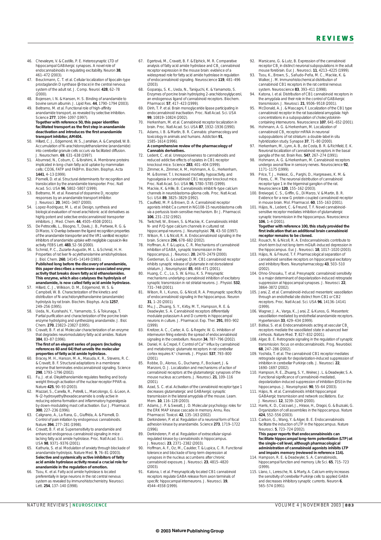- 46. Chevaleyre, V. & Castillo, P. E. Heterosynaptic LTD of hippocampal GABAergic synapses. A novel role of endocannabinoids in regulating excitability. *Neuron* **38**, 461–472 (2003).
- 47. Beuckmann, C. T. *et al.* Cellular localization of lipocalin-type prostaglandin D synthase (β-trace) in the central nervous system of the adult rat. *J. Comp. Neurol.* **428**, 62–78 (2000).
- 48. Bojensen, I. N. & Hansen, H. S. Binding of anandamide to bovine serum albumin. *J. Lipid Res.* **44**, 1790–1794 (2003). Beltramo, M. *et al.* Functional role of high-affinity
- anandamide transport, as revealed by selective inhibition. *Science* **277**, 1094–1097 (1997). **Together with reference 50, this paper identifies facilitated transport as the first step in anandamide deactivation and introduces the first anandamide transport inhibitor, AM404.**
- 50. Hillard, C. J., Edgemond, W. S., Jarrahian, A. & Campbell, W. B. Accumulation of *N*-arachidonoylethanolamine (anandamide) into cerebellar granule cells occurs via facilitated diffusion. *J. Neurochem.* **69**, 631–638 (1997).
- 51. Abumrad, N., Coburn, C. & Ibrahimi, A. Membrane proteins implicated in long-chain fatty acid uptake by mammalian cells: CD36, FATP and FABPm. *Biochim. Biophys. Acta* **1441**, 4–13 (1999).
- 52. Piomelli, D. *et al.* Structural determinants for recognition and translocation by the anandamide transporter. *Proc. Natl Acad. Sci. USA* **96**, 5802–5807 (1999).
- 53. Beltramo, M. *et al.* Reversal of dopamine D<sub>2</sub> receptor responses by an anandamide transport inhibitor *J. Neurosci.* **20**, 3401–3407 (2000).
- 54. Lopez-Rodriguez, M. L. *et al.* Design, synthesis and biological evaluation of novel arachidonic acid derivatives as highly potent and selective endocannabinoid transporter inhibitors. *J. Med. Chem.* **44**, 4505–4508 (2001).
- 55. De Petrocellis, L., Bisogno, T., Davis, J. B., Pertwee, R. G. & Di Marzo, V. Overlap between the ligand recognition properties of the anandamide transporter and the VR1 vanilloid receptor: inhibitors of anandamide uptake with negligible capsaicin-like activity. *FEBS Lett.* **483**, 52–56 (2000).
- 56. Schmid, P. C., Zuzarte-Augustin, M. L. & Schmid, H. H. Properties of rat liver *N*-acylethanolamine amidohydrolase. *J. Biol. Chem.* **260**, 14145–14149 (1985). **Published long before the discovery of anandamide, this paper describes a membrane-associated enzyme activity that breaks down fatty acid ethanolamides. This enzyme, which also catalyses the hydrolysis of anandamide, is now called fatty acid amide hydrolase.**
- 57. Hillard, C. J., Wilkison, D. M., Edgemond, W. S. & Campbell, W. B. Characterization of the kinetics and distribution of *N*-arachidonylethanolamine (anandamide) hydrolysis by rat brain. *Biochim. Biophys. Acta* **1257**, 249–256 (1995).
- 58. Ueda, N., Kurahashi, Y., Yamamoto, S. & Tokunaga, T. Partial purification and characterization of the porcine brain enzyme hydrolyzing and synthesizing anandamide. *J. Biol.*
- *Chem.* **270**, 23823–23827 (1995). 59. Cravatt, B. F. *et al.* Molecular characterization of an enzyme that degrades neuromodulatory fatty-acid amides. *Nature* **384**, 83–87 (1996).

## **The first of an elegant series of papers (including references 60 and 64) that unveils the molecular**

- **properties of fatty acid amide hydrolase.** 60. Bracey, M. H., Hanson, M. A., Masuda, K. R., Stevens, R. C. & Cravatt, B. F. Structural adaptations in a membrane enzyme that terminates endocannabinoid signaling. *Science* **298**, 1793–1796 (2002).
- 61. Fu, J. *et al.* Oleylethanolamide regulates feeding and body weight through activation of the nuclear receptor PPAR-α. *Nature* **425**, 90–93 (2003).
- 62. Mazzari, S., Canella, R., Petrelli, L., Marcolongo, G. & Leon, A. *N*-(2-hydroxyethyl)hexadecanamide is orally active in reducing edema formation and inflammatory hyperalgesia by down-modulating mast cell activation. *Eur. J. Pharmacol.* **300**, 227–236 (1996).
- 63. Calignano, A., La Rana, G., Giuffrida, A. & Piomelli, D. Control of pain initiation by endogenous cannabinoids. *Nature* **394**, 277–281 (1998).
- 64. Cravatt, B. F. *et al.* Supersensitivity to anandamide and enhanced endogenous cannabinoid signaling in mice lacking fatty acid amide hydrolase. *Proc. Natl Acad. Sci. USA* **98**, 9371–9376 (2001).
- 65. Kathuria, S. *et al.* Modulation of anxiety through blockade of anandamide hydrolysis. *Nature Med.* **9**, 76–81 (2003). **Selective and systemically active inhibitors of fatty acid amide hydrolase activity reveal a crucial role for anandamide in the regulation of emotion.**
- 66. Tsou, K. *et al.* Fatty acid amide hydrolase is located preferentially in large neurons in the rat central nervous system as revealed by immunohistochemistry. *Neurosci. Lett.* **254**, 137–140 (1998).
- 67. Egertová, M., Cravatt, B. F. & Elphick, M. R. Comparative analysis of fatty acid amide hydrolase and CB<sub>1</sub> cannabinoid<br>receptor expression in the mouse brain: evidence of a widespread role for fatty acid amide hydrolase in regulation of endocannabinoid signaling. *Neuroscience* **119**, 481–496 (2003).
- 68. Goparaju, S. K., Ueda, N., Taniguchi, K. & Yamamoto, S. Enzymes of porcine brain hydrolyzing 2-arachidonoylglycerol, an endogenous ligand of cannabinoid receptors. *Biochem. Pharmacol.* **57**, 417–423 (1999).
- 69. Dinh, T. P. *et al.* Brain monoglyceride lipase participating in endocannabinoid inactivation. *Proc. Natl Acad. Sci. USA* **99**, 10819–10824 (2002).
- 70. Herkenham, M. *et al.* Cannabinoid receptor localization in brain. *Proc. Natl Acad. Sci. USA* **87**, 1932–1936 (1990). 71. Adams, I. B. & Martin, B. R. Cannabis: pharmacology and
- toxicology in animals and humans. *Addiction* **91**, 1585–1614 (1996). **A comprehensive review of the pharmacology of**

# *Cannabis* **derivatives.**

- 72. Ledent, C. *et al.* Unresponsiveness to cannabinoids and reduced addictive effects of opiates in CB1 receptor
- knockout mice. *Science* **283**, 401–404 (1999). 73. Zimmer, A., Zimmer, A. M., Hohmann, A. G., Herkenham, M. & Bonner, T. I. Increased mortality, hypoactivity, and hypoalgesia in cannabinoid CB1 receptor knockout mice. *Proc. Natl Acad. Sci. USA* **96**, 5780–5785 (1999).
- 74. Mackie, K. & Hille, B. Cannabinoids inhibit N-type calcium channels in neuroblastoma-glioma cells. *Proc. Natl Acad. Sci. USA* **89**, 3825–3829 (1992).
- 75. Caulfield, M. P. & Brown, D. A. Cannabinoid receptor agonists inhibit Ca current in NG108-15 neuroblastoma cells via a pertussis toxin-sensitive mechanism. *Br. J. Pharmacol.* **106**, 231–232 (1992).
- 76. Twitchell, W., Brown, S. & Mackie, K. Cannabinoids inhibit N- and P/Q-type calcium channels in cultured rat hippocampal neurons. *J. Neurophysiol.* **78**, 43–50 (1997).
- 77. Wilson, R. I. & Nicoll, R. A. Endocannabinoid signaling in the brain. *Science* **296**, 678–682 (2002).
- 78. Hoffman, A. F. & Lupica, C. R. Mechanisms of cannabinoid inhibition of GABA<sub>A</sub> synaptic transmission in the<br>hippocampus. *J. Neurosci.* **20**, 2470–2479 (2000).
- 79. Gerdeman, G. & Lovinger, D. M. CB1 cannabinoid receptor inhibits synaptic release of glutamate in rat dorsolateral striatum. *J. Neurophysiol.* **85**, 468–471 (2001).
- 80. Huang, C. C., Lo, S. W. & Hsu, K. S. Presynaptic mechanisms underlying cannabinoid inhibition of excitatory synaptic transmission in rat striatal neurons. *J. Physiol.* **532**, 731–748 (2001).
- 81. Wilson, R. I., Kunos, G. & Nicoll, R. A. Presynaptic specificity of endocannabinoid signaling in the hippocampus. *Neuron* **31**, 1–20 (2001).
- 82. Mu, J., Zhuang, S. Y., Kirby, M. T., Hampson, R. E. & Deadwyler, S. A. Cannabinoid receptors differentially modulate potassium A and D currents in hippocampal neurons in culture. *J. Pharmacol. Exp. Ther.* **291**, 893–902  $(1999)$
- 83. Kreitzer, A. C., Carter, A. G. & Regehr, W. G. Inhibition of interneuron firing extends the spread of endocannabinoid signaling in the cerebellum. *Neuron* **34**, 787–796 (2002).
- 84. Daniel, H. & Crepel, F. Control of Ca<sup>2+</sup> influx by cannabinoid and metabotropic glutamate receptors in rat cerebellar cortex requires K+ channels. *J. Physiol.* **537**, 793–800 (2001).
- 85. Robbe, D., Alonso, G., Duchamp, F., Bockaert, J. & Manzoni, O. J. Localization and mechanisms of action of cannabinoid receptors at the glutamatergic synapses of the mouse nucleus accumbens. *J. Neurosci.* **21**, 109–116  $(2001)$
- 86. Azad, S. C. *et al.* Activation of the cannabinoid receptor type 1 decreases glutamatergic and GABAergic synaptic transmission in the lateral amygdala of the mouse. *Learn.*
- *Mem.* **10**, 116–128 (2003). 87. Adams, J. P. & Sweatt, J. D. Molecular psychology: roles for the ERK MAP kinase cascade in memory. *Annu. Rev. Pharmacol. Toxicol.* **42**, 135–163 (2002).
- 88. Derkinderen, P. *et al.* Regulation of a neuronal form of focal adhesion kinase by anandamide. *Science* **273**, 1719–1722 (1996).
- Derkinderen, P. et al. Regulation of extracellular signalregulated kinase by cannabinoids in hippocampus. *J. Neurosci.* **23**, 2371–2382 (2003).
- 90. Hoffman, A. F., Oz, M., Caulder, T. & Lupica, C. R. Functional tolerance and blockade of long-term depression at synapses in the nucleus accumbens after chronic cannabinoid exposure. *J. Neurosci.* **23**, 4815–4820 (2003).
- 91. Katona, I. et al. Presynaptically located CB1 cannabinoid receptors regulate GABA release from axon terminals of specific hippocampal interneurons. *J. Neurosci.* **19**, 4544–4558 (1999).
- Marsicano, G. & Lutz, B. Expression of the cannabinoid receptor CB<sub>1</sub> in distinct neuronal subpopulations in the adult<br>mouse forebrain. *Eur. J. Neurosci.* **11**, 4213–4225 (1999).
- 93. Tsou, K., Brown, S., Sañudo-Peña, M. C., Mackie, K. & Walker, J. M. Immunohistochemical distribution of cannabinoid CB1 receptors in the rat central nervous system. *Neuroscience* **83**, 393–411 (1998).
- 94. Katona, I. *et al.* Distribution of CB1 cannabinoid receptors in the amygdala and their role in the control of GABAergic transmission. *J. Neurosci.* **21**, 9506–9518 (2001).
- 95. McDonald, A. J. & Mascagni, F. Localization of the CB1 type cannabinoid receptor in the rat basolateral amygdala: high concentrations in a subpopulation of cholecystokinin-containing interneurons. *Neuroscience* **107**, 641–652 (2001).
- 96. Hohmann, A. G. & Herkenham, M. Localization of<br>cannabinoid CB<sub>1</sub> receptor mRNA in neuronal subpopulations of rat striatum: a double-label *in situ*
- hybridization study. Synapse 37, 71–80 (2000).<br>97. Herkenham, M., Lynn, A. B., de Costa, B. R. & Richfield, E. K.<br>Neuronal localization of cannabinoid receptors in the basal<br>ganglia of the rat. *Brain Res*. 547, 267–274 (1
- 98. Hohmann, A. G. & Herkenham, M. Cannabinoid receptors undergo axonal flow in sensory nerves. *Neuroscience* **92**, 1171–1175 (1999).
- 99. Price, T. J., Helesic, G., Parghi, D., Hargreaves, K. M. & Flores, C. M. The neuronal distribution of cannabinoid receptor type 1 in the trigeminal ganglion of the rat.
- *Neuroscience* **120**, 155–162 (2003). 100. Breivogel, C. S., Griffin, G., Di Marzo, V. & Martin, B. R. Evidence for a new G protein-coupled cannabinoid receptor in mouse brain. *Mol. Pharmacol.* **60**, 155–163 (2001).
- 101. Hájos, N., Ledent, C. & Freund, T. F. Novel cannabinoidsensitive receptor mediates inhibition of glutamatergic synaptic transmission in the hippocampus. *Neuroscience* **106**, 1–4 (2001).

#### **Together with reference 100, this study provided the first indication that an additional brain cannabinoid receptor remains to be cloned.**

- 102. Rouach, N. & Nicoll, R. A. Endocannabinoids contribute to short-term but not long-term mGluR-induced depression in the hippocampus. *Eur. J. Neurosci.* **18**, 1017–1020 (2003). 103. Hájos, N. & Freund, T. F. Pharmacological separation of
- cannabinoid sensitive receptors on hippocampal excitatory and inhibitory fibers. *Neuropharmacology* **43**, 503–510 (2002).
- 104. Ohno-Shosaku, T. *et al.* Presynaptic cannabinoid sensitivity is a major determinant of depolarization-induced retrograde suppression at hippocampal synapses. *J. Neurosci.* **22**, 3864–3872 (2002).
- 105. Jarai, Z. *et al.* Cannabinoid-induced mesenteric vasodilation through an endothelial site distinct from CB1 or CB2 receptors. *Proc. Natl Acad. Sci. USA* **96**, 14136–14141 (1999).
- 106. Wagner, J. A., Varga, K., Jarai, Z. & Kunos, G. Mesenteric vasodilation mediated by endothelial anandamide receptors. *Hypertension* **33**, 429–434 (1999).
- 107. Bátkai, S. *et al.* Endocannabinoids acting at vascular CB<sub>1</sub><br>receptors mediate the vasodilated state in advanced liver cirrhosis. *Nature Med.* **7**, 827–832 (2001).
- 108. Alger, B. E. Retrograde signaling in the regulation of synaptic transmission: focus on endocannabinoids. *Prog. Neurobiol.* **68**, 247–286 (2002).
- 109. Yoshida, T. *et al.* The cannabinoid CB1 receptor mediates retrograde signals for depolarization-induced suppression of inhibition in cerebellar Purkinje cells. *J. Neurosci.* **22**, 1690–1697 (2002).
- 110. Hampson, R. E., Zhuang, S. Y., Weiner, J. L. & Deadwyler, S. A. Functional significance of cannabinoid-mediated, depolarization-induced suppression of inhibition (DSI) in the
- hippocampus. *J. Neurophysiol.* **90**, 55–64 (2003). 111. Hájos, N. *et al.* Cannabinoids inhibit hippocampal GABAergic transmission and network oscillations. *Eur.*
- *J. Neurosci.* **12**, 3239–3249 (2000). 112. Harris, K. D., Csicsvari, J., Hirase, H., Dragoi, G. & Buzsaki, G. Organization of cell assemblies in the hippocampus. *Nature*
- **424**, 552–556 (2003). 113. Carlson, G., Wang, Y. & Alger, B. E. Endocannabinoids facilitate the induction of LTP in the hippocampus. *Nature Neurosci.* **5**, 723–724 (2002). **This paper reports that endocannabinoids can facilitate hippocampal long-term potentiation (LTP) at**
- **the single-cell level, although pharmacological administration of cannabinoid agonists inhibits LTP and impairs memory (reviewed in reference 114).** 114. Hampson, R. E. & Deadwyler, S. A. Cannabinoids,
- hippocampal function and memory. *Life Sci.* **65**, 715–723 (1999).
- 115. Llano, I., Leresche, N. & Marty, A. Calcium entry increases the sensitivity of cerebellar Purkinje cells to applied GABA and decreases inhibitory synaptic currents. *Neuron* **6**, 565–574 (1991).